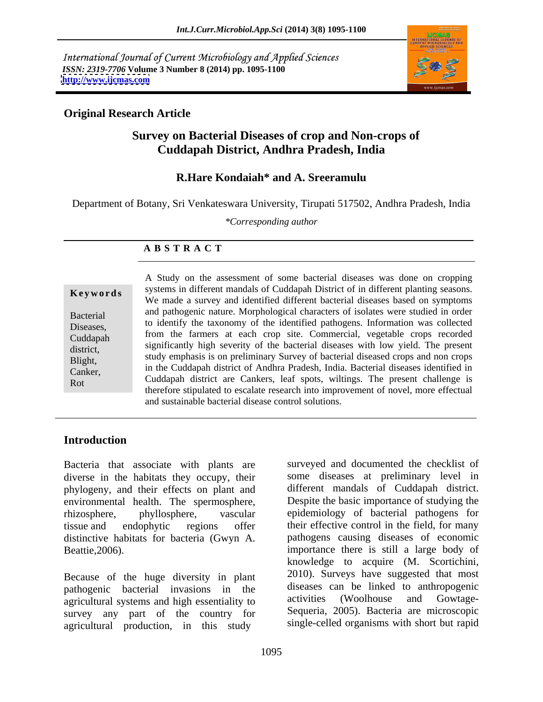International Journal of Current Microbiology and Applied Sciences *ISSN: 2319-7706* **Volume 3 Number 8 (2014) pp. 1095-1100 <http://www.ijcmas.com>**



### **Original Research Article**

# **Survey on Bacterial Diseases of crop and Non-crops of Cuddapah District, Andhra Pradesh, India**

### **R.Hare Kondaiah\* and A. Sreeramulu**

Department of Botany, Sri Venkateswara University, Tirupati 517502, Andhra Pradesh, India

*\*Corresponding author* 

#### **A B S T R A C T**

**Keywords** systems in different mandals of Cuddapah District of in different planting seasons. Bacterial and pathogenic hattle. Morphological characters of isolates were studied in order<br>Diseases to identify the taxonomy of the identified pathogens. Information was collected Diseases, the internal of the farmers at each crop site. Commercial, vegetable crops recorded from the farmers at each crop site. Commercial, vegetable crops recorded Cuddapah <sup>11011</sup> the farmers at each crop site. Commercial, vegetable crops recorded district, significantly high severity of the bacterial diseases with low yield. The present Blight, study emphasis is on preliminary Survey of bacterial diseased crops and non crops Engin, in the Cuddapah district of Andhra Pradesh, India. Bacterial diseases identified in Eumer,<br>
Rot Cuddapah district are Cankers, leaf spots, wiltings. The present challenge is A Study on the assessment of some bacterial diseases was done on cropping We made a survey and identified different bacterial diseases based on symptoms and pathogenic nature. Morphological characters of isolates were studied in order therefore stipulated to escalate research into improvement of novel, more effectual and sustainable bacterial disease control solutions.

# **Introduction**

Bacteria that associate with plants are diverse in the habitats they occupy, their phylogeny, and their effects on plant and environmental health. The spermosphere, distinctive habitats for bacteria (Gwyn A.

Because of the huge diversity in plant pathogenic bacterial invasions in the diseases can be linked to anthropogenic<br>activities (Woolhouse and Gowtageagricultural systems and high essentiality to survey any part of the country for agricultural production, in this study

rhizosphere, phyllosphere, vascular epidemiology of bacterial pathogens for tissue and endophytic regions offer their effective control in the field, for many Beattie, 2006). Some importance there is still a large body of surveyed and documented the checklist of some diseases at preliminary level in different mandals of Cuddapah district. Despite the basic importance of studying the pathogens causing diseases of economic knowledge to acquire (M. Scortichini, 2010). Surveys have suggested that most diseases can be linked to anthropogenic activities (Woolhouse and Gowtage- Sequeria, 2005). Bacteria are microscopic single-celled organisms with short but rapid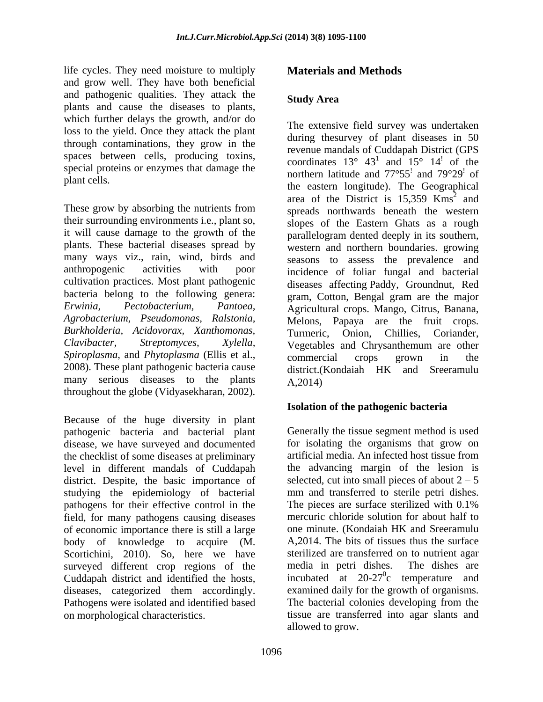life cycles. They need moisture to multiply and grow well. They have both beneficial and pathogenic qualities. They attack the plants and cause the diseases to plants, which further delays the growth, and/or do loss to the yield. Once they attack the plant through contaminations, they grow in the spaces between cells, producing toxins, special proteins or enzymes that damage the

These grow by absorbing the nutrients from their surrounding environments i.e., plant so, it will cause damage to the growth of the cultivation practices. Most plant pathogenic bacteria belong to the following genera: *Burkholderia, Acidovorax, Xanthomonas, Spiroplasma*, and *Phytoplasma* (Ellis et al., 2008). These plant pathogenic bacteria cause many serious diseases to the plants  $A.2014$ throughout the globe (Vidyasekharan, 2002).

Because of the huge diversity in plant pathogenic bacteria and bacterial plant disease, we have surveyed and documented for isolating the organisms that grow on the checklist of some diseases at preliminary level in different mandals of Cuddapah district. Despite, the basic importance of studying the epidemiology of bacterial mm and transferred to sterile petri dishes.<br>
pathogens for their effective control in the The pieces are surface sterilized with 0.1% pathogens for their effective control in the field, for many pathogens causing diseases mercuric chloride solution for about half to<br>of economic importance there is still a large one minute. (Kondaiah HK and Sreeramulu of economic importance there is still a large body of knowledge to acquire (M. A, 2014. The bits of tissues thus the surface<br>Scortichini, 2010). So, here we have sterilized are transferred on to nutrient agar surveyed different crop regions of the media in petri dishes. The dishes are Cuddapah district and identified the hosts, diseases, categorized them accordingly. Pathogens were isolated and identified based The bacterial colonies developing from the on morphological characteristics. tissue are transferred into agar slants and

# **Materials and Methods**

#### **Study Area**

plant cells.<br>the eastern longitude). The Geographical plants. These bacterial diseases spread by western and northern boundaries. growing many ways viz., rain, wind, birds and seasons to assess the prevalence and anthropogenic activities with poor incidence of foliar fungal and bacterial *Erwinia, Pectobacterium, Pantoea,* Agricultural crops. Mango, Citrus, Banana, *Agrobacterium, Pseudomonas, Ralstonia,* Melons, Papaya are the fruit crops. *Clavibacter, Streptomyces, Xylella,* Vegetables and Chrysanthemum are other The extensive field survey was undertaken during thesurvey of plant diseases in 50 revenue mandals of Cuddapah District (GPS coordinates  $13^{\circ}$   $43^{\circ}$  and  $15^{\circ}$   $14^{\circ}$  of the and  $15^{\circ}$   $14^{\circ}$  of the ! of the northern latitude and  $77^{\circ}55'$  and  $79^{\circ}29'$  of  $\frac{1}{2}$  and 79°29<sup>1</sup> of ! of area of the District is  $15,359$  Kms<sup>2</sup> and  $2$  and and spreads northwards beneath the western slopes of the Eastern Ghats as a rough parallelogram dented deeply in its southern, diseases affecting Paddy, Groundnut, Red gram, Cotton, Bengal gram are the major Turmeric, Onion, Chillies, commercial crops grown in the district.(Kondaiah HK and Sreeramulu A,2014)

#### **Isolation of the pathogenic bacteria**

Generally the tissue segment method is used artificial media. An infected host tissue from the advancing margin of the lesion is selected, cut into small pieces of about  $2 - 5$ mm and transferred to sterile petri dishes. The pieces are surface sterilized with 0.1% mercuric chloride solution for about half to one minute. (Kondaiah HK and Sreeramulu A,2014. The bits of tissues thus the surface sterilized are transferred on to nutrient agar media in petri dishes. The dishes are incubated at  $20-27^\circ$ c temperature and c temperature and examined daily for the growth of organisms. allowed to grow.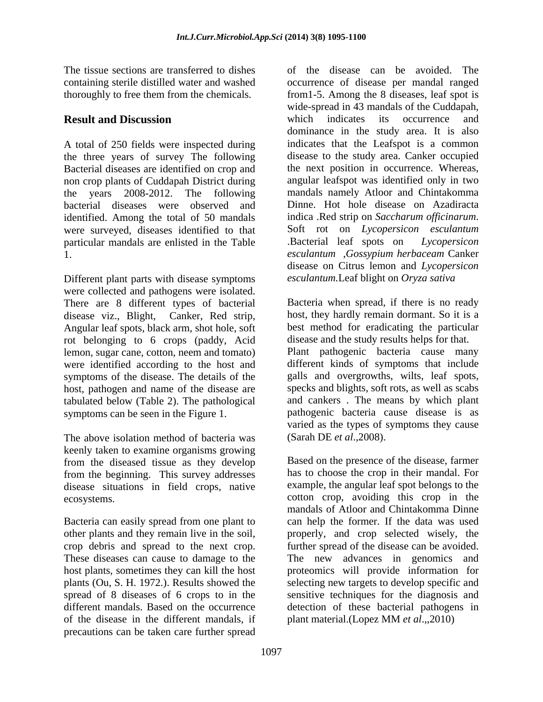The tissue sections are transferred to dishes of the disease can be avoided. The

A total of 250 fields were inspected during the three years of survey The following Bacterial diseases are identified on crop and non crop plants of Cuddapah District during bacterial diseases were observed and Dinne. Hot hole disease on Azadiracta identified. Among the total of 50 mandals indica Red strip on Saccharum officinarum. identified. Among the total of 50 mandals were surveyed, diseases identified to that Soft rot on *Lycopersicon esculantum*<br>narticular mandals are enlisted in the Table . Bacterial leaf spots on *Lycopersicon* particular mandals are enlisted in the Table **Bacterial** leaf spots on *Lycopersicon* 

Different plant parts with disease symptoms were collected and pathogens were isolated. There are 8 different types of bacterial disease viz., Blight, Canker, Red strip, Angular leaf spots, black arm, shot hole, soft rot belonging to 6 crops (paddy, Acid lemon, sugar cane, cotton, neem and tomato) symptoms of the disease. The details of the host, pathogen and name of the disease are tabulated below (Table 2). The pathological

The above isolation method of bacteria was (Sarah DE et al., 2008). keenly taken to examine organisms growing from the diseased tissue as they develop from the beginning. This survey addresses disease situations in field crops, native

Bacteria can easily spread from one plant to spread of 8 diseases of 6 crops to in the of the disease in the different mandals, if precautions can be taken care further spread

containing sterile distilled water and washed occurrence of disease per mandal ranged thoroughly to free them from the chemicals. from1-5. Among the 8 diseases, leaf spot is **Result and Discussion and Series Result and Discussion and Series Result and Discussion** the years 2008-2012. The following mandals namely Atloor and Chintakomma 1. *esculantum* ,*Gossypium herbaceam* Canker wide-spread in 43 mandals of the Cuddapah, which indicates its occurrence and dominance in the study area. It is also indicates that the Leafspot is a common disease to the study area. Canker occupied the next position in occurrence. Whereas, angular leafspot was identified only in two Dinne. Hot hole disease on Azadiracta indica .Red strip on *Saccharum of icinarum*. Soft rot on *Lycopersicon esculantum* .Bacterial leaf spots on *Lycopersicon*  disease on Citrus lemon and *Lycopersicon esculantum.*Leaf blight on *Oryza sativa*

were identified according to the host and different kinds of symptoms that include symptoms can be seen in the Figure 1. pathogenic bacteria cause disease is as Bacteria when spread, if there is no ready host, they hardly remain dormant. So it is a best method for eradicating the particular disease and the study results helps for that. Plant pathogenic bacteria cause many galls and overgrowths, wilts, leaf spots, specks and blights, soft rots, as well as scabs and cankers . The means by which plant varied as the types of symptoms they cause (Sarah DE *et al*.,2008).

ecosystems. cotton crop, avoiding this crop in the other plants and they remain live in the soil, properly, and crop selected wisely, the crop debris and spread to the next crop. further spread of the disease can be avoided. These diseases can cause to damage to the The new advances in genomics and host plants, sometimes they can kill the host proteomics will provide information for plants (Ou, S. H. 1972.). Results showed the selecting new targets to develop specific and different mandals. Based on the occurrence detection of these bacterial pathogens in Based on the presence of the disease, farmer has to choose the crop in their mandal. For example, the angular leaf spot belongs to the mandals of Atloor and Chintakomma Dinne can help the former. If the data was used sensitive techniques for the diagnosis and plant material.(Lopez MM *et al*.,,2010)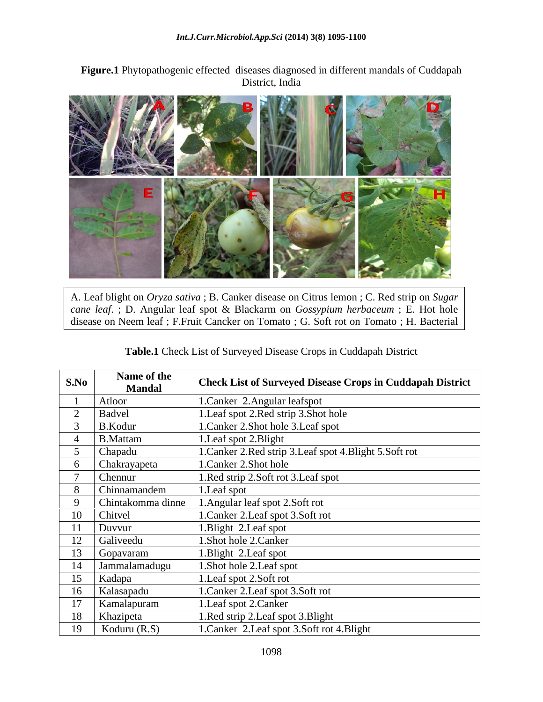**Figure.1** Phytopathogenic effected diseases diagnosed in different mandals of Cuddapah District, India



A. Leaf blight on *Oryza sativa* ; B. Canker disease on Citrus lemon ; C. Red strip on *Sugar cane leaf*. ; D. Angular leaf spot & Blackarm on *Gossypium herbaceum* ; E. Hot hole disease on Neem leaf ; F.Fruit Cancker on Tomato ; G. Soft rot on Tomato ; H. Bacterial

**Table.1** Check List of Surveyed Disease Crops in Cuddapah District

| S.No | Name of the<br><b>Mandal</b> | <b>Check List of Surveyed Disease Crops in Cuddapah District</b> |
|------|------------------------------|------------------------------------------------------------------|
|      | Atloor                       |                                                                  |
|      |                              | 1. Canker 2. Angular leafspot                                    |
|      | Badvel                       | 1. Leaf spot 2. Red strip 3. Shot hole                           |
|      | B.Kodur                      | 1. Canker 2. Shot hole 3. Leaf spot                              |
|      | B.Mattam                     | 1. Leaf spot 2. Blight                                           |
|      | Chapadu                      | 1. Canker 2. Red strip 3. Leaf spot 4. Blight 5. Soft rot        |
|      | Chakrayapeta                 | 1. Canker 2. Shot hole                                           |
|      | Chennur                      | 1.Red strip 2.Soft rot 3.Leaf spot                               |
|      | Chinnamandem                 | 1. Leaf spot                                                     |
|      | Chintakomma dinne            | 1. Angular leaf spot 2. Soft rot                                 |
|      | Chitvel                      | 1. Canker 2. Leaf spot 3. Soft rot                               |
| 11   | Duvvur                       | 1. Blight 2. Leaf spot                                           |
| 12   | Galiveedu                    | 1. Shot hole 2. Canker                                           |
|      |                              |                                                                  |
| 13   | Gopavaram                    | 1. Blight 2. Leaf spot                                           |
| 14   | Jammalamadugu                | 1. Shot hole 2. Leaf spot                                        |
| 15   | Kadapa                       | 1. Leaf spot 2. Soft rot                                         |
| 16   | Kalasapadu                   | 1. Canker 2. Leaf spot 3. Soft rot                               |
| 17   | Kamalapuram                  | 1. Leaf spot 2. Canker                                           |
| 18   | Khazipeta                    | 1. Red strip 2. Leaf spot 3. Blight                              |
| 19   | Koduru $(R.S)$               | 1. Canker 2. Leaf spot 3. Soft rot 4. Blight                     |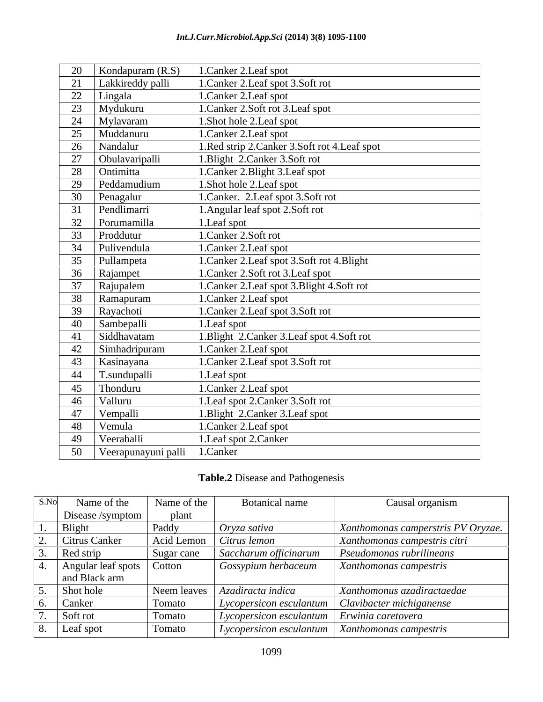| 20 | Kondapuram $(R.S)$        | 1. Canker 2. Leaf spot                       |
|----|---------------------------|----------------------------------------------|
| 21 | Lakkireddy palli          | 1. Canker 2. Leaf spot 3. Soft rot           |
|    | 22 Lingala                | 1. Canker 2. Leaf spot                       |
|    | 23 Mydukuru               | 1. Canker 2. Soft rot 3. Leaf spot           |
|    | $\overline{24}$ Mylavaram | 1. Shot hole 2. Leaf spot                    |
| 25 | Muddanuru                 | 1.Canker 2.Leaf spot                         |
| 26 | Nandalur                  | 1.Red strip 2.Canker 3.Soft rot 4.Leaf spot  |
| 27 | Obulavaripalli            | 1. Blight 2. Canker 3. Soft rot              |
| 28 | Ontimitta                 | 1. Canker 2. Blight 3. Leaf spot             |
| 29 | Peddamudium               | 1. Shot hole 2. Leaf spot                    |
| 30 | Penagalur                 | 1. Canker. 2. Leaf spot 3. Soft rot          |
| 31 | Pendlimarri               | 1. Angular leaf spot 2. Soft rot             |
| 32 | Porumamilla               | 1. Leaf spot                                 |
|    | 33 Proddutur              | 1. Canker 2. Soft rot                        |
|    | 34 Pulivendula            | 1. Canker 2. Leaf spot                       |
|    | 35 Pullampeta             | 1. Canker 2. Leaf spot 3. Soft rot 4. Blight |
|    | 36 Rajampet               | 1. Canker 2. Soft rot 3. Leaf spot           |
| 37 | Rajupalem                 | 1. Canker 2. Leaf spot 3. Blight 4. Soft rot |
| 38 | Ramapuram                 | 1. Canker 2. Leaf spot                       |
| 39 | Rayachoti                 | 1. Canker 2. Leaf spot 3. Soft rot           |
| 40 | Sambepalli                | 1. Leaf spot                                 |
| 41 | Siddhavatam               | 1. Blight 2. Canker 3. Leaf spot 4. Soft rot |
| 42 | Simhadripuram             | 1. Canker 2. Leaf spot                       |
| 43 | Kasinayana                | 1. Canker 2. Leaf spot 3. Soft rot           |
| 44 | T.sundupalli              | 1. Leaf spot                                 |
| 45 | Thonduru                  | 1. Canker 2. Leaf spot                       |
| 46 | Valluru                   | 1.Leaf spot 2.Canker 3.Soft rot              |
| 47 | Vempalli                  | 1. Blight 2. Canker 3. Leaf spot             |
| 48 | Vemula                    | 1. Canker 2. Leaf spot                       |
| 49 | Veeraballi                | 1. Leaf spot 2. Canker                       |
| 50 | Veerapunayuni palli       | 1.Canker                                     |

# **Table.2** Disease and Pathogenesis

| S.No | Name of the                 | Name of the                    | <b>Botanical name</b>                                      | Causal organism                                                  |
|------|-----------------------------|--------------------------------|------------------------------------------------------------|------------------------------------------------------------------|
|      | Disease /symptom $\vert$    | <b>plant</b>                   |                                                            |                                                                  |
|      | Bligh                       | Paddy                          | Oryza sativa                                               | Xanthomonas camperstris PV Oryzae.                               |
|      | Citrus Canker               | Acid Lemon <i>Citrus lemon</i> |                                                            | Xanthomonas campestris citri                                     |
|      | Red strip                   | Sugar cane                     | Saccharum officinarum                                      | Pseudomonas rubrilineans                                         |
|      | Angular leaf spots   Cotton |                                | Gossypium herbaceum                                        | Xanthomonas campestris                                           |
|      | and Black arm               |                                |                                                            |                                                                  |
|      | Shot hole                   |                                | Neem leaves   Azadiracta indica                            | Xanthomonus azadiractaedae                                       |
|      | Canker                      | Tomato                         |                                                            | $\vert$ Lycopersicon esculantum $\vert$ Clavibacter michiganense |
|      | Soft rot                    | Tomato                         | $\vert$ Lycopersicon esculantum $\vert$ Erwinia caretovera |                                                                  |
|      | Leaf spot                   | Tomato                         |                                                            | $\vert$ Lycopersicon esculantum $\vert$ Xanthomonas campestris   |